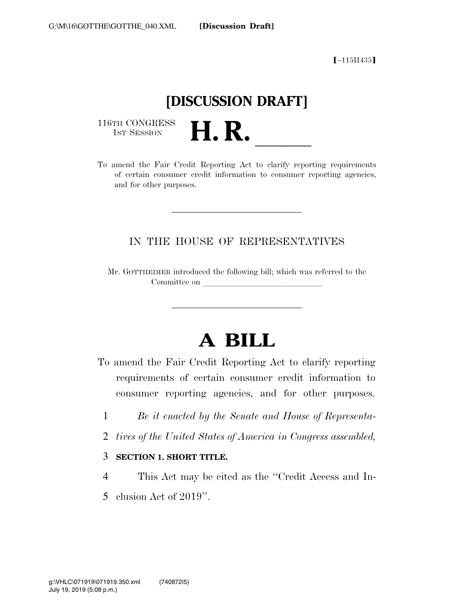ø∼115H435¿

## **[DISCUSSION DRAFT]**

116TH CONGRESS<br>1st Session

116TH CONGRESS<br>
1st SESSION<br>
To amend the Fair Credit Reporting Act to clarify reporting requirements of certain consumer credit information to consumer reporting agencies, and for other purposes.

## IN THE HOUSE OF REPRESENTATIVES

Mr. GOTTHEIMER introduced the following bill; which was referred to the Committee on

## **A BILL**

To amend the Fair Credit Reporting Act to clarify reporting requirements of certain consumer credit information to consumer reporting agencies, and for other purposes.

- 1 *Be it enacted by the Senate and House of Representa-*
- 2 *tives of the United States of America in Congress assembled,*
- 3 **SECTION 1. SHORT TITLE.**
- 4 This Act may be cited as the ''Credit Access and In-
- 5 clusion Act of 2019''.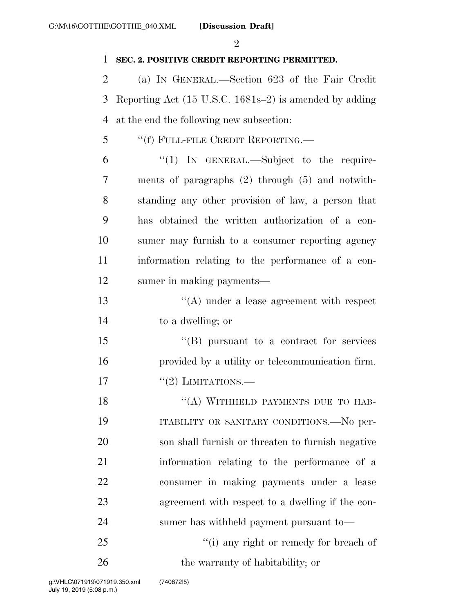$\mathcal{Q}_1$ 

## **SEC. 2. POSITIVE CREDIT REPORTING PERMITTED.**

 (a) IN GENERAL.—Section 623 of the Fair Credit Reporting Act (15 U.S.C. 1681s–2) is amended by adding at the end the following new subsection:

- ''(f) FULL-FILE CREDIT REPORTING.—
- ''(1) IN GENERAL.—Subject to the require- ments of paragraphs (2) through (5) and notwith- standing any other provision of law, a person that has obtained the written authorization of a con- sumer may furnish to a consumer reporting agency information relating to the performance of a con-sumer in making payments—
- 13 ''(A) under a lease agreement with respect to a dwelling; or
- ''(B) pursuant to a contract for services provided by a utility or telecommunication firm. 17  $\frac{17}{2}$  LIMITATIONS.

18 "(A) WITHHELD PAYMENTS DUE TO HAB-19 ITABILITY OR SANITARY CONDITIONS.—No per- son shall furnish or threaten to furnish negative information relating to the performance of a consumer in making payments under a lease agreement with respect to a dwelling if the con-sumer has withheld payment pursuant to—

25  $\frac{1}{25}$  (i) any right or remedy for breach of 26 the warranty of habitability; or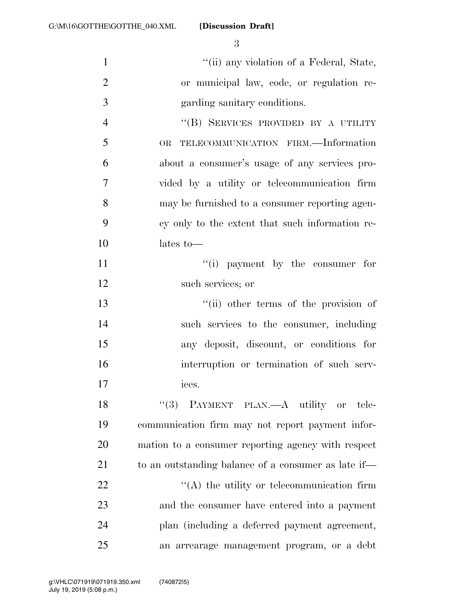**[Discussion Draft]** 

 $"$ (ii) any violation of a Federal, State, or municipal law, code, or regulation re- garding sanitary conditions. ''(B) SERVICES PROVIDED BY A UTILITY OR TELECOMMUNICATION FIRM.—Information about a consumer's usage of any services pro- vided by a utility or telecommunication firm may be furnished to a consumer reporting agen- cy only to the extent that such information re- lates to— 11 ''(i) payment by the consumer for such services; or ''(ii) other terms of the provision of such services to the consumer, including any deposit, discount, or conditions for interruption or termination of such serv- ices. 18 "(3) PAYMENT PLAN.—A utility or tele- communication firm may not report payment infor- mation to a consumer reporting agency with respect 21 to an outstanding balance of a consumer as late if—  $\langle (A)$  the utility or telecommunication firm and the consumer have entered into a payment plan (including a deferred payment agreement, an arrearage management program, or a debt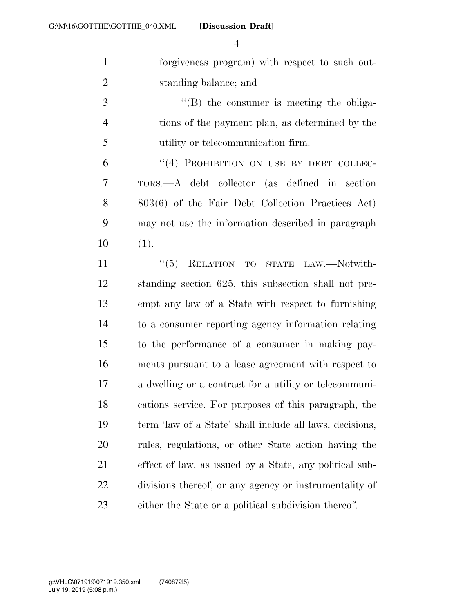**[Discussion Draft]** 

 forgiveness program) with respect to such out-standing balance; and

3 ''(B) the consumer is meeting the obliga- tions of the payment plan, as determined by the utility or telecommunication firm.

6 "(4) PROHIBITION ON USE BY DEBT COLLEC- TORS.—A debt collector (as defined in section 803(6) of the Fair Debt Collection Practices Act) may not use the information described in paragraph (1).

11 "(5) RELATION TO STATE LAW.—Notwith- standing section 625, this subsection shall not pre- empt any law of a State with respect to furnishing to a consumer reporting agency information relating to the performance of a consumer in making pay- ments pursuant to a lease agreement with respect to a dwelling or a contract for a utility or telecommuni- cations service. For purposes of this paragraph, the term 'law of a State' shall include all laws, decisions, rules, regulations, or other State action having the effect of law, as issued by a State, any political sub- divisions thereof, or any agency or instrumentality of either the State or a political subdivision thereof.